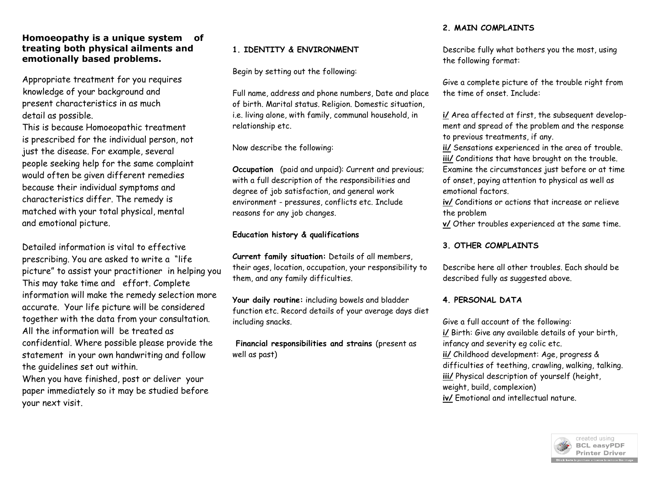# **Homoeopathy is a unique system of treating both physical ailments and emotionally based problems.**

Appropriate treatment for you requires knowledge of your background and present characteristics in as much detail as possible.

This is because Homoeopathic treatment is prescribed for the individual person, not just the disease. For example, several people seeking help for the same complaint would often be given different remedies because their individual symptoms and characteristics differ. The remedy is matched with your total physical, mental and emotional picture.

Detailed information is vital to effective prescribing. You are asked to write a "life picture" to assist your practitioner in helping you This may take time and effort. Complete information will make the remedy selection more accurate. Your life picture will be considered together with the data from your consultation. All the information will be treated as confidential. Where possible please provide the statement in your own handwriting and follow the guidelines set out within.

When you have finished, post or deliver your paper immediately so it may be studied before your next visit.

# **1. IDENTITY & ENVIRONMENT**

Begin by setting out the following:

Full name, address and phone numbers, Date and place of birth. Marital status. Religion. Domestic situation, i.e. living alone, with family, communal household, in relationship etc.

Now describe the following:

**Occupation** (paid and unpaid): Current and previous; with a full description of the responsibilities and degree of job satisfaction, and general work environment - pressures, conflicts etc. Include reasons for any job changes.

### **Education history & qualifications**

**Current family situation:** Details of all members, their ages, location, occupation, your responsibility to them, and any family difficulties.

**Your daily routine:** including bowels and bladder function etc. Record details of your average days diet including snacks.

**Financial responsibilities and strains** (present as well as past)

# **2. MAIN COMPLAINTS**

Describe fully what bothers you the most, using the following format:

Give a complete picture of the trouble right from the time of onset. Include:

**i/** Area affected at first, the subsequent development and spread of the problem and the response to previous treatments, if any.

**ii/** Sensations experienced in the area of trouble.

**iii/** Conditions that have brought on the trouble.

Examine the circumstances just before or at time of onset, paying attention to physical as well as emotional factors.

**iv/** Conditions or actions that increase or relieve the problem

**v/** Other troubles experienced at the same time.

# **3. OTHER COMPLAINTS**

Describe here all other troubles. Each should be described fully as suggested above.

# **4. PERSONAL DATA**

Give a full account of the following: **i/** Birth: Give any available details of your birth, infancy and severity eg colic etc. **ii/** Childhood development: Age, progress & difficulties of teething, crawling, walking, talking. **iii/** Physical description of yourself (height, weight, build, complexion) **iv/** Emotional and intellectual nature.